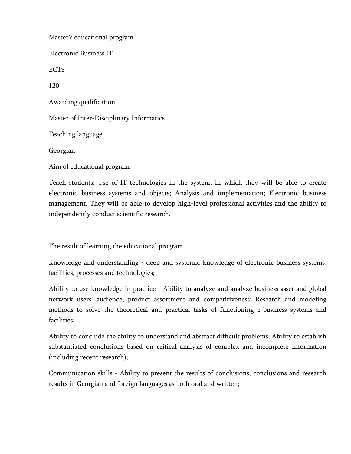Master's educational program Electronic Business IT ECTS 120 Awarding qualification Master of Inter-Disciplinary Informatics Teaching language Georgian Aim of educational program

Teach students: Use of IT technologies in the system, in which they will be able to create electronic business systems and objects; Analysis and implementation; Electronic business management. They will be able to develop high-level professional activities and the ability to independently conduct scientific research.

The result of learning the educational program

Knowledge and understanding - deep and systemic knowledge of electronic business systems, facilities, processes and technologies;

Ability to use knowledge in practice - Ability to analyze and analyze business asset and global network users' audience, product assortment and competitiveness; Research and modeling methods to solve the theoretical and practical tasks of functioning e-business systems and facilities;

Ability to conclude the ability to understand and abstract difficult problems; Ability to establish substantiated conclusions based on critical analysis of complex and incomplete information (including recent research);

Communication skills - Ability to present the results of conclusions, conclusions and research results in Georgian and foreign languages as both oral and written;